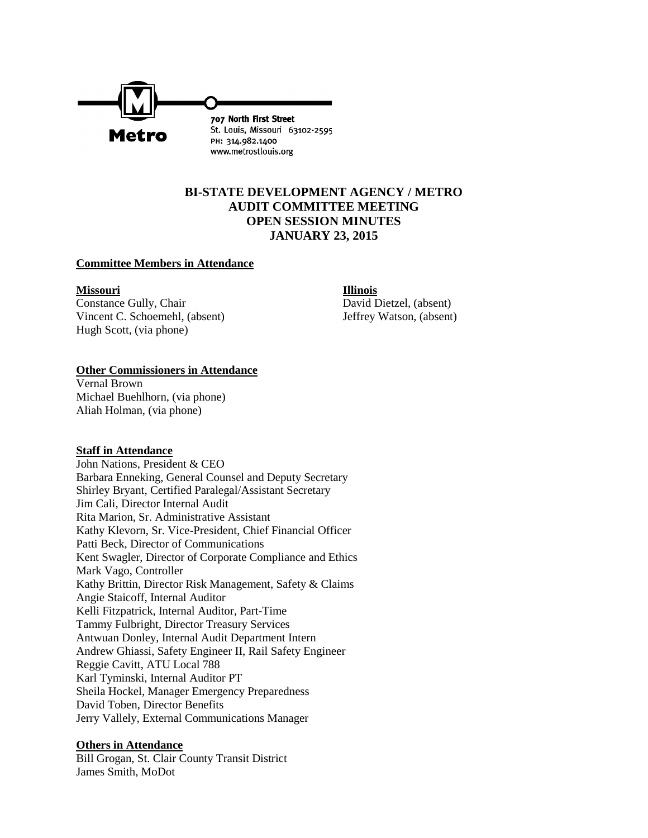

# **BI-STATE DEVELOPMENT AGENCY / METRO AUDIT COMMITTEE MEETING OPEN SESSION MINUTES JANUARY 23, 2015**

### **Committee Members in Attendance**

#### **Missouri Illinois**

Constance Gully, Chair David Dietzel, (absent) Vincent C. Schoemehl, (absent) Jeffrey Watson, (absent) Hugh Scott, (via phone)

#### **Other Commissioners in Attendance**

Vernal Brown Michael Buehlhorn, (via phone) Aliah Holman, (via phone)

### **Staff in Attendance**

John Nations, President & CEO Barbara Enneking, General Counsel and Deputy Secretary Shirley Bryant, Certified Paralegal/Assistant Secretary Jim Cali, Director Internal Audit Rita Marion, Sr. Administrative Assistant Kathy Klevorn, Sr. Vice-President, Chief Financial Officer Patti Beck, Director of Communications Kent Swagler, Director of Corporate Compliance and Ethics Mark Vago, Controller Kathy Brittin, Director Risk Management, Safety & Claims Angie Staicoff, Internal Auditor Kelli Fitzpatrick, Internal Auditor, Part-Time Tammy Fulbright, Director Treasury Services Antwuan Donley, Internal Audit Department Intern Andrew Ghiassi, Safety Engineer II, Rail Safety Engineer Reggie Cavitt, ATU Local 788 Karl Tyminski, Internal Auditor PT Sheila Hockel, Manager Emergency Preparedness David Toben, Director Benefits Jerry Vallely, External Communications Manager

### **Others in Attendance**

Bill Grogan, St. Clair County Transit District James Smith, MoDot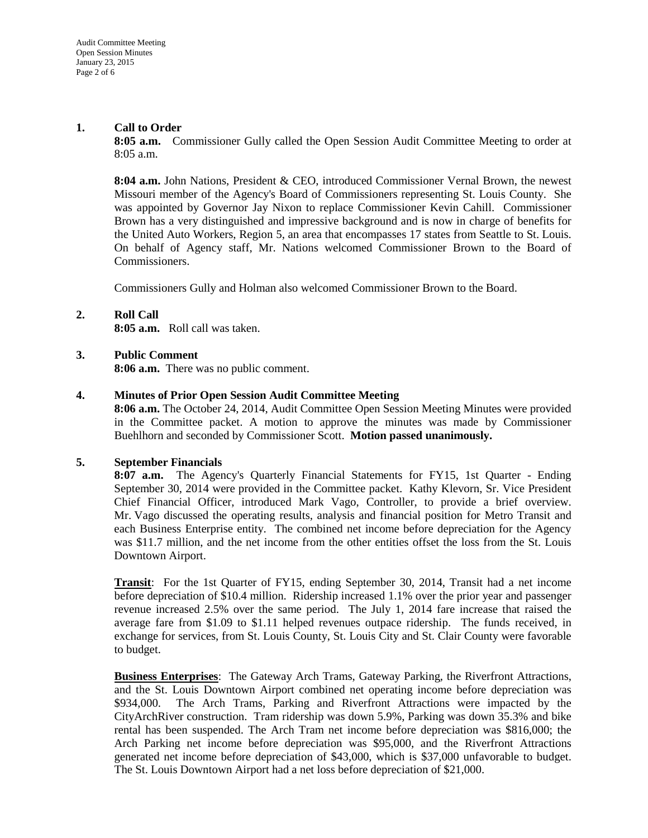## **1. Call to Order**

**8:05 a.m.** Commissioner Gully called the Open Session Audit Committee Meeting to order at 8:05 a.m.

**8:04 a.m.** John Nations, President & CEO, introduced Commissioner Vernal Brown, the newest Missouri member of the Agency's Board of Commissioners representing St. Louis County. She was appointed by Governor Jay Nixon to replace Commissioner Kevin Cahill. Commissioner Brown has a very distinguished and impressive background and is now in charge of benefits for the United Auto Workers, Region 5, an area that encompasses 17 states from Seattle to St. Louis. On behalf of Agency staff, Mr. Nations welcomed Commissioner Brown to the Board of Commissioners.

Commissioners Gully and Holman also welcomed Commissioner Brown to the Board.

## **2. Roll Call**

**8:05 a.m.** Roll call was taken.

### **3. Public Comment**

**8:06 a.m.** There was no public comment.

### **4. Minutes of Prior Open Session Audit Committee Meeting**

**8:06 a.m.** The October 24, 2014, Audit Committee Open Session Meeting Minutes were provided in the Committee packet. A motion to approve the minutes was made by Commissioner Buehlhorn and seconded by Commissioner Scott. **Motion passed unanimously.**

### **5. September Financials**

**8:07 a.m.** The Agency's Quarterly Financial Statements for FY15, 1st Quarter - Ending September 30, 2014 were provided in the Committee packet. Kathy Klevorn, Sr. Vice President Chief Financial Officer, introduced Mark Vago, Controller, to provide a brief overview. Mr. Vago discussed the operating results, analysis and financial position for Metro Transit and each Business Enterprise entity. The combined net income before depreciation for the Agency was \$11.7 million, and the net income from the other entities offset the loss from the St. Louis Downtown Airport.

**Transit**: For the 1st Quarter of FY15, ending September 30, 2014, Transit had a net income before depreciation of \$10.4 million. Ridership increased 1.1% over the prior year and passenger revenue increased 2.5% over the same period. The July 1, 2014 fare increase that raised the average fare from \$1.09 to \$1.11 helped revenues outpace ridership. The funds received, in exchange for services, from St. Louis County, St. Louis City and St. Clair County were favorable to budget.

**Business Enterprises**: The Gateway Arch Trams, Gateway Parking, the Riverfront Attractions, and the St. Louis Downtown Airport combined net operating income before depreciation was \$934,000. The Arch Trams, Parking and Riverfront Attractions were impacted by the CityArchRiver construction. Tram ridership was down 5.9%, Parking was down 35.3% and bike rental has been suspended. The Arch Tram net income before depreciation was \$816,000; the Arch Parking net income before depreciation was \$95,000, and the Riverfront Attractions generated net income before depreciation of \$43,000, which is \$37,000 unfavorable to budget. The St. Louis Downtown Airport had a net loss before depreciation of \$21,000.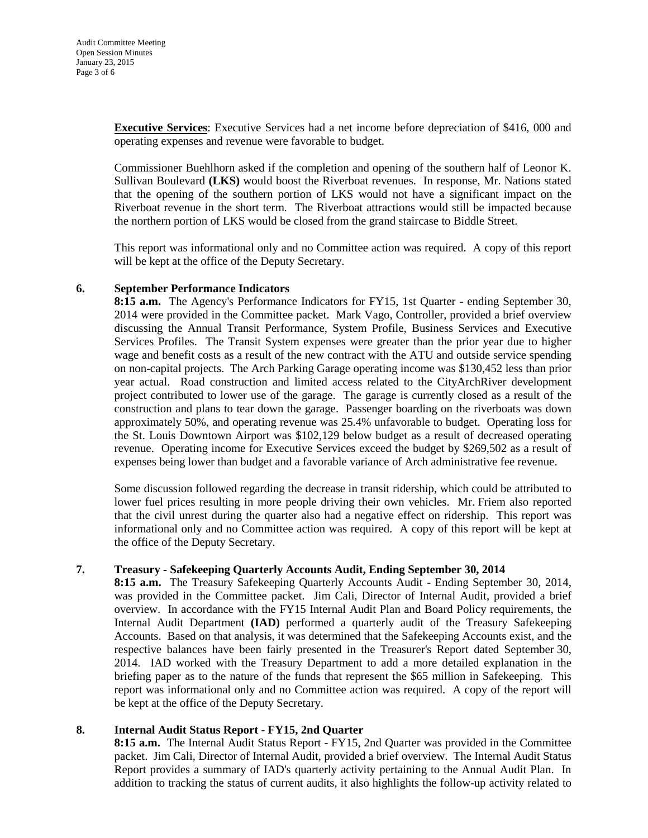**Executive Services**: Executive Services had a net income before depreciation of \$416, 000 and operating expenses and revenue were favorable to budget.

Commissioner Buehlhorn asked if the completion and opening of the southern half of Leonor K. Sullivan Boulevard **(LKS)** would boost the Riverboat revenues. In response, Mr. Nations stated that the opening of the southern portion of LKS would not have a significant impact on the Riverboat revenue in the short term. The Riverboat attractions would still be impacted because the northern portion of LKS would be closed from the grand staircase to Biddle Street.

This report was informational only and no Committee action was required. A copy of this report will be kept at the office of the Deputy Secretary.

## **6. September Performance Indicators**

**8:15 a.m.** The Agency's Performance Indicators for FY15, 1st Quarter - ending September 30, 2014 were provided in the Committee packet. Mark Vago, Controller, provided a brief overview discussing the Annual Transit Performance, System Profile, Business Services and Executive Services Profiles. The Transit System expenses were greater than the prior year due to higher wage and benefit costs as a result of the new contract with the ATU and outside service spending on non-capital projects. The Arch Parking Garage operating income was \$130,452 less than prior year actual. Road construction and limited access related to the CityArchRiver development project contributed to lower use of the garage. The garage is currently closed as a result of the construction and plans to tear down the garage. Passenger boarding on the riverboats was down approximately 50%, and operating revenue was 25.4% unfavorable to budget. Operating loss for the St. Louis Downtown Airport was \$102,129 below budget as a result of decreased operating revenue. Operating income for Executive Services exceed the budget by \$269,502 as a result of expenses being lower than budget and a favorable variance of Arch administrative fee revenue.

Some discussion followed regarding the decrease in transit ridership, which could be attributed to lower fuel prices resulting in more people driving their own vehicles. Mr. Friem also reported that the civil unrest during the quarter also had a negative effect on ridership. This report was informational only and no Committee action was required. A copy of this report will be kept at the office of the Deputy Secretary.

## **7. Treasury - Safekeeping Quarterly Accounts Audit, Ending September 30, 2014**

**8:15 a.m.** The Treasury Safekeeping Quarterly Accounts Audit - Ending September 30, 2014, was provided in the Committee packet. Jim Cali, Director of Internal Audit, provided a brief overview. In accordance with the FY15 Internal Audit Plan and Board Policy requirements, the Internal Audit Department **(IAD)** performed a quarterly audit of the Treasury Safekeeping Accounts. Based on that analysis, it was determined that the Safekeeping Accounts exist, and the respective balances have been fairly presented in the Treasurer's Report dated September 30, 2014. IAD worked with the Treasury Department to add a more detailed explanation in the briefing paper as to the nature of the funds that represent the \$65 million in Safekeeping. This report was informational only and no Committee action was required. A copy of the report will be kept at the office of the Deputy Secretary.

## **8. Internal Audit Status Report - FY15, 2nd Quarter**

**8:15 a.m.** The Internal Audit Status Report - FY15, 2nd Quarter was provided in the Committee packet. Jim Cali, Director of Internal Audit, provided a brief overview. The Internal Audit Status Report provides a summary of IAD's quarterly activity pertaining to the Annual Audit Plan. In addition to tracking the status of current audits, it also highlights the follow-up activity related to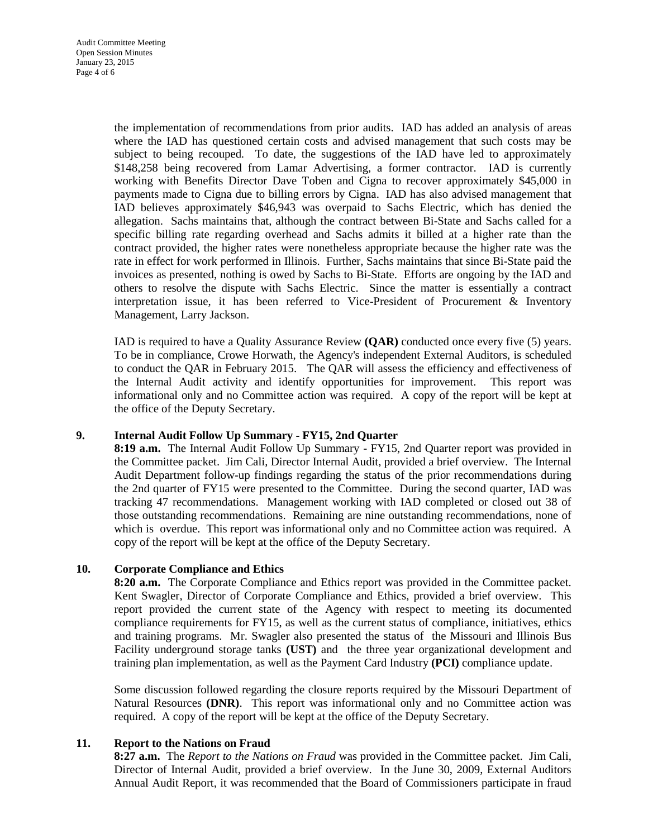the implementation of recommendations from prior audits. IAD has added an analysis of areas where the IAD has questioned certain costs and advised management that such costs may be subject to being recouped. To date, the suggestions of the IAD have led to approximately \$148,258 being recovered from Lamar Advertising, a former contractor. IAD is currently working with Benefits Director Dave Toben and Cigna to recover approximately \$45,000 in payments made to Cigna due to billing errors by Cigna. IAD has also advised management that IAD believes approximately \$46,943 was overpaid to Sachs Electric, which has denied the allegation. Sachs maintains that, although the contract between Bi-State and Sachs called for a specific billing rate regarding overhead and Sachs admits it billed at a higher rate than the contract provided, the higher rates were nonetheless appropriate because the higher rate was the rate in effect for work performed in Illinois. Further, Sachs maintains that since Bi-State paid the invoices as presented, nothing is owed by Sachs to Bi-State. Efforts are ongoing by the IAD and others to resolve the dispute with Sachs Electric. Since the matter is essentially a contract interpretation issue, it has been referred to Vice-President of Procurement & Inventory Management, Larry Jackson.

IAD is required to have a Quality Assurance Review **(QAR)** conducted once every five (5) years. To be in compliance, Crowe Horwath, the Agency's independent External Auditors, is scheduled to conduct the QAR in February 2015. The QAR will assess the efficiency and effectiveness of the Internal Audit activity and identify opportunities for improvement. This report was informational only and no Committee action was required. A copy of the report will be kept at the office of the Deputy Secretary.

## **9. Internal Audit Follow Up Summary - FY15, 2nd Quarter**

**8:19 a.m.** The Internal Audit Follow Up Summary - FY15, 2nd Quarter report was provided in the Committee packet. Jim Cali, Director Internal Audit, provided a brief overview. The Internal Audit Department follow-up findings regarding the status of the prior recommendations during the 2nd quarter of FY15 were presented to the Committee. During the second quarter, IAD was tracking 47 recommendations. Management working with IAD completed or closed out 38 of those outstanding recommendations. Remaining are nine outstanding recommendations, none of which is overdue. This report was informational only and no Committee action was required. A copy of the report will be kept at the office of the Deputy Secretary.

## **10. Corporate Compliance and Ethics**

**8:20 a.m.** The Corporate Compliance and Ethics report was provided in the Committee packet. Kent Swagler, Director of Corporate Compliance and Ethics, provided a brief overview. This report provided the current state of the Agency with respect to meeting its documented compliance requirements for FY15, as well as the current status of compliance, initiatives, ethics and training programs.Mr. Swagler also presented the status of the Missouri and Illinois Bus Facility underground storage tanks **(UST)** and the three year organizational development and training plan implementation, as well as the Payment Card Industry **(PCI)** compliance update.

Some discussion followed regarding the closure reports required by the Missouri Department of Natural Resources **(DNR)**. This report was informational only and no Committee action was required. A copy of the report will be kept at the office of the Deputy Secretary.

## **11. Report to the Nations on Fraud**

**8:27 a.m.** The *Report to the Nations on Fraud* was provided in the Committee packet. Jim Cali, Director of Internal Audit, provided a brief overview. In the June 30, 2009, External Auditors Annual Audit Report, it was recommended that the Board of Commissioners participate in fraud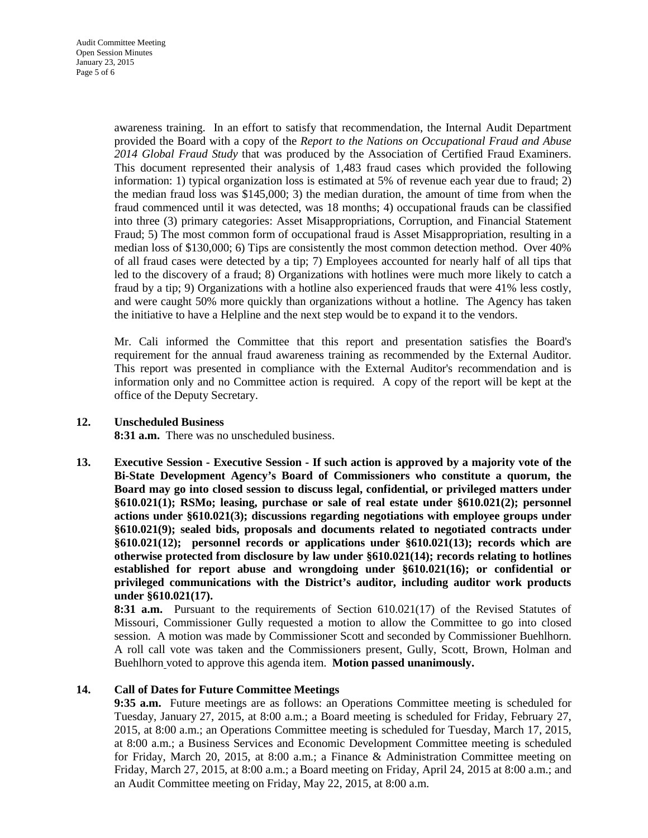awareness training. In an effort to satisfy that recommendation, the Internal Audit Department provided the Board with a copy of the *Report to the Nations on Occupational Fraud and Abuse 2014 Global Fraud Study* that was produced by the Association of Certified Fraud Examiners. This document represented their analysis of 1,483 fraud cases which provided the following information: 1) typical organization loss is estimated at 5% of revenue each year due to fraud; 2) the median fraud loss was \$145,000; 3) the median duration, the amount of time from when the fraud commenced until it was detected, was 18 months; 4) occupational frauds can be classified into three (3) primary categories: Asset Misappropriations, Corruption, and Financial Statement Fraud; 5) The most common form of occupational fraud is Asset Misappropriation, resulting in a median loss of \$130,000; 6) Tips are consistently the most common detection method. Over 40% of all fraud cases were detected by a tip; 7) Employees accounted for nearly half of all tips that led to the discovery of a fraud; 8) Organizations with hotlines were much more likely to catch a fraud by a tip; 9) Organizations with a hotline also experienced frauds that were 41% less costly, and were caught 50% more quickly than organizations without a hotline. The Agency has taken the initiative to have a Helpline and the next step would be to expand it to the vendors.

Mr. Cali informed the Committee that this report and presentation satisfies the Board's requirement for the annual fraud awareness training as recommended by the External Auditor. This report was presented in compliance with the External Auditor's recommendation and is information only and no Committee action is required. A copy of the report will be kept at the office of the Deputy Secretary.

### **12. Unscheduled Business**

**8:31 a.m.** There was no unscheduled business.

**13. Executive Session - Executive Session - If such action is approved by a majority vote of the Bi-State Development Agency's Board of Commissioners who constitute a quorum, the Board may go into closed session to discuss legal, confidential, or privileged matters under §610.021(1); RSMo; leasing, purchase or sale of real estate under §610.021(2); personnel actions under §610.021(3); discussions regarding negotiations with employee groups under §610.021(9); sealed bids, proposals and documents related to negotiated contracts under §610.021(12); personnel records or applications under §610.021(13); records which are otherwise protected from disclosure by law under §610.021(14); records relating to hotlines established for report abuse and wrongdoing under §610.021(16); or confidential or privileged communications with the District's auditor, including auditor work products under §610.021(17).**

**8:31 a.m.** Pursuant to the requirements of Section 610.021(17) of the Revised Statutes of Missouri, Commissioner Gully requested a motion to allow the Committee to go into closed session. A motion was made by Commissioner Scott and seconded by Commissioner Buehlhorn. A roll call vote was taken and the Commissioners present, Gully, Scott, Brown, Holman and Buehlhorn voted to approve this agenda item. **Motion passed unanimously.** 

## **14. Call of Dates for Future Committee Meetings**

**9:35 a.m.** Future meetings are as follows: an Operations Committee meeting is scheduled for Tuesday, January 27, 2015, at 8:00 a.m.; a Board meeting is scheduled for Friday, February 27, 2015, at 8:00 a.m.; an Operations Committee meeting is scheduled for Tuesday, March 17, 2015, at 8:00 a.m.; a Business Services and Economic Development Committee meeting is scheduled for Friday, March 20, 2015, at 8:00 a.m.; a Finance & Administration Committee meeting on Friday, March 27, 2015, at 8:00 a.m.; a Board meeting on Friday, April 24, 2015 at 8:00 a.m.; and an Audit Committee meeting on Friday, May 22, 2015, at 8:00 a.m.